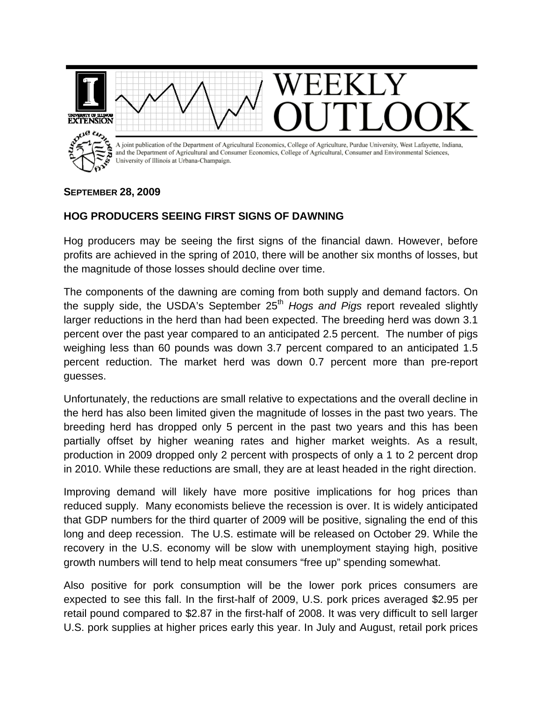

## **SEPTEMBER 28, 2009**

## **HOG PRODUCERS SEEING FIRST SIGNS OF DAWNING**

Hog producers may be seeing the first signs of the financial dawn. However, before profits are achieved in the spring of 2010, there will be another six months of losses, but the magnitude of those losses should decline over time.

The components of the dawning are coming from both supply and demand factors. On the supply side, the USDA's September 25<sup>th</sup> *Hogs and Pigs* report revealed slightly larger reductions in the herd than had been expected. The breeding herd was down 3.1 percent over the past year compared to an anticipated 2.5 percent. The number of pigs weighing less than 60 pounds was down 3.7 percent compared to an anticipated 1.5 percent reduction. The market herd was down 0.7 percent more than pre-report guesses.

Unfortunately, the reductions are small relative to expectations and the overall decline in the herd has also been limited given the magnitude of losses in the past two years. The breeding herd has dropped only 5 percent in the past two years and this has been partially offset by higher weaning rates and higher market weights. As a result, production in 2009 dropped only 2 percent with prospects of only a 1 to 2 percent drop in 2010. While these reductions are small, they are at least headed in the right direction.

Improving demand will likely have more positive implications for hog prices than reduced supply. Many economists believe the recession is over. It is widely anticipated that GDP numbers for the third quarter of 2009 will be positive, signaling the end of this long and deep recession. The U.S. estimate will be released on October 29. While the recovery in the U.S. economy will be slow with unemployment staying high, positive growth numbers will tend to help meat consumers "free up" spending somewhat.

Also positive for pork consumption will be the lower pork prices consumers are expected to see this fall. In the first-half of 2009, U.S. pork prices averaged \$2.95 per retail pound compared to \$2.87 in the first-half of 2008. It was very difficult to sell larger U.S. pork supplies at higher prices early this year. In July and August, retail pork prices